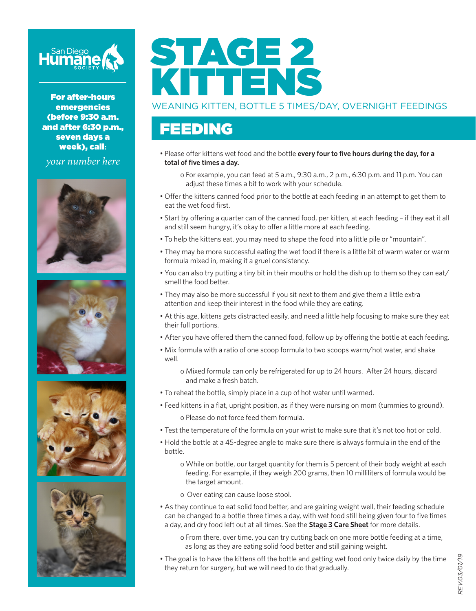

For after-hours emergencies (before 9:30 a.m. and after 6:30 p.m., seven days a week), call**:**

*your number here*









# STAGE 2 KITTENS

#### WEANING KITTEN, BOTTLE 5 TIMES/DAY, OVERNIGHT FEEDINGS

#### FEEDING

• Please offer kittens wet food and the bottle **every four to five hours during the day, for a total of five times a day.**

o For example, you can feed at 5 a.m., 9:30 a.m., 2 p.m., 6:30 p.m. and 11 p.m. You can adjust these times a bit to work with your schedule.

- Offer the kittens canned food prior to the bottle at each feeding in an attempt to get them to eat the wet food first.
- Start by offering a quarter can of the canned food, per kitten, at each feeding if they eat it all and still seem hungry, it's okay to offer a little more at each feeding.
- To help the kittens eat, you may need to shape the food into a little pile or "mountain".
- They may be more successful eating the wet food if there is a little bit of warm water or warm formula mixed in, making it a gruel consistency.
- You can also try putting a tiny bit in their mouths or hold the dish up to them so they can eat/ smell the food better.
- They may also be more successful if you sit next to them and give them a little extra attention and keep their interest in the food while they are eating.
- At this age, kittens gets distracted easily, and need a little help focusing to make sure they eat their full portions.
- After you have offered them the canned food, follow up by offering the bottle at each feeding.
- Mix formula with a ratio of one scoop formula to two scoops warm/hot water, and shake well.

o Mixed formula can only be refrigerated for up to 24 hours. After 24 hours, discard and make a fresh batch.

- To reheat the bottle, simply place in a cup of hot water until warmed.
- Feed kittens in a flat, upright position, as if they were nursing on mom (tummies to ground). o Please do not force feed them formula.
- Test the temperature of the formula on your wrist to make sure that it's not too hot or cold.
- Hold the bottle at a 45-degree angle to make sure there is always formula in the end of the bottle.
	- o While on bottle, our target quantity for them is 5 percent of their body weight at each feeding. For example, if they weigh 200 grams, then 10 milliliters of formula would be the target amount.
	- o Over eating can cause loose stool.
- As they continue to eat solid food better, and are gaining weight well, their feeding schedule can be changed to a bottle three times a day, with wet food still being given four to five times a day, and dry food left out at all times. See the **Stage 3 Care Sheet** for more details.
	- o From there, over time, you can try cutting back on one more bottle feeding at a time, as long as they are eating solid food better and still gaining weight.
- The goal is to have the kittens off the bottle and getting wet food only twice daily by the time they return for surgery, but we will need to do that gradually.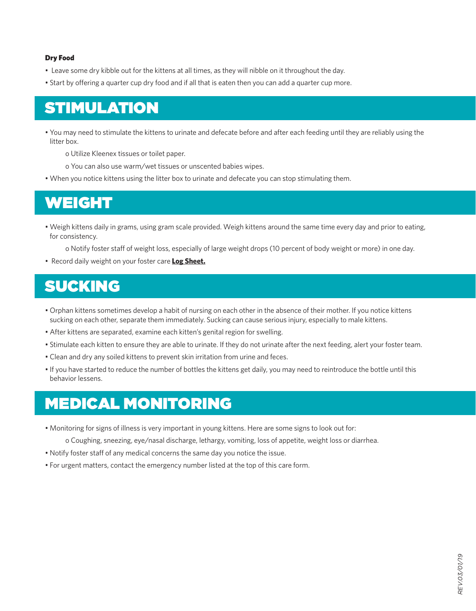#### Dry Food

- Leave some dry kibble out for the kittens at all times, as they will nibble on it throughout the day.
- Start by offering a quarter cup dry food and if all that is eaten then you can add a quarter cup more.

## STIMULATION

• You may need to stimulate the kittens to urinate and defecate before and after each feeding until they are reliably using the litter box.

o Utilize Kleenex tissues or toilet paper.

- o You can also use warm/wet tissues or unscented babies wipes.
- When you notice kittens using the litter box to urinate and defecate you can stop stimulating them.

#### WEIGHT

• Weigh kittens daily in grams, using gram scale provided. Weigh kittens around the same time every day and prior to eating, for consistency.

o Notify foster staff of weight loss, especially of large weight drops (10 percent of body weight or more) in one day.

• Record daily weight on your foster care **Log Sheet.**

# SUCKING

- Orphan kittens sometimes develop a habit of nursing on each other in the absence of their mother. If you notice kittens sucking on each other, separate them immediately. Sucking can cause serious injury, especially to male kittens.
- After kittens are separated, examine each kitten's genital region for swelling.
- Stimulate each kitten to ensure they are able to urinate. If they do not urinate after the next feeding, alert your foster team.
- Clean and dry any soiled kittens to prevent skin irritation from urine and feces.
- If you have started to reduce the number of bottles the kittens get daily, you may need to reintroduce the bottle until this behavior lessens.

#### MEDICAL MONITORING

• Monitoring for signs of illness is very important in young kittens. Here are some signs to look out for:

o Coughing, sneezing, eye/nasal discharge, lethargy, vomiting, loss of appetite, weight loss or diarrhea.

- Notify foster staff of any medical concerns the same day you notice the issue.
- For urgent matters, contact the emergency number listed at the top of this care form.